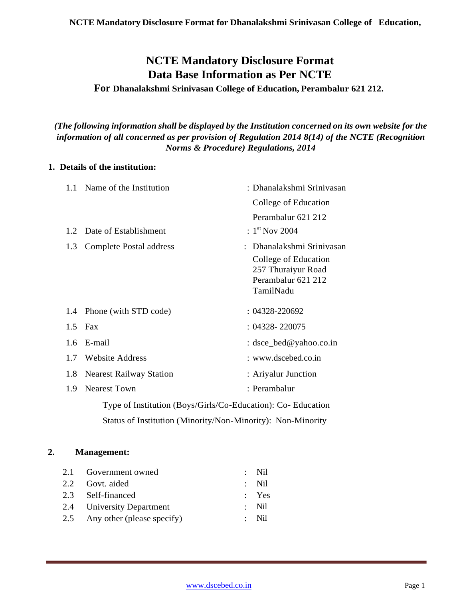# **NCTE Mandatory Disclosure Format Data Base Information as Per NCTE**

### **For Dhanalakshmi Srinivasan College of Education, Perambalur 621 212.**

*(The following information shall be displayed by the Institution concerned on its own website for the information of all concerned as per provision of Regulation 2014 8(14) of the NCTE (Recognition Norms & Procedure) Regulations, 2014*

### **1. Details of the institution:**

| 1.1 Name of the Institution |                                                              | : Dhanalakshmi Srinivasan  |
|-----------------------------|--------------------------------------------------------------|----------------------------|
|                             |                                                              | College of Education       |
|                             |                                                              | Perambalur 621 212         |
| 1.2                         | Date of Establishment                                        | : $1^{\text{st}}$ Nov 2004 |
| 1.3                         | <b>Complete Postal address</b>                               | Dhanalakshmi Sriniyasan    |
|                             |                                                              | College of Education       |
|                             |                                                              | 257 Thuraiyur Road         |
|                             |                                                              | Perambalur 621 212         |
|                             |                                                              | TamilNadu                  |
|                             | 1.4 Phone (with STD code)                                    | : 04328-220692             |
| 1.5                         | Fax                                                          | $: 04328 - 220075$         |
| $1.6^{\circ}$               | E-mail                                                       | : $dsec\_bed@yahoo.co.in$  |
| 1.7                         | <b>Website Address</b>                                       | : www.dscebed.co.in        |
| 1.8                         | <b>Nearest Railway Station</b>                               | : Ariyalur Junction        |
| 1.9                         | <b>Nearest Town</b>                                          | : Perambalur               |
|                             | Type of Institution (Boys/Girls/Co-Education): Co- Education |                            |
|                             | Status of Institution (Minority/Non-Minority): Non-Minority  |                            |

### **2. Management:**

| 2.1 Government owned           | $\therefore$ Nil |
|--------------------------------|------------------|
| 2.2 Govt. aided                | $:$ Nil          |
| 2.3 Self-financed              | $:$ Yes          |
| 2.4 University Department      | $\therefore$ Nil |
| 2.5 Any other (please specify) | $\cdot$ Nil      |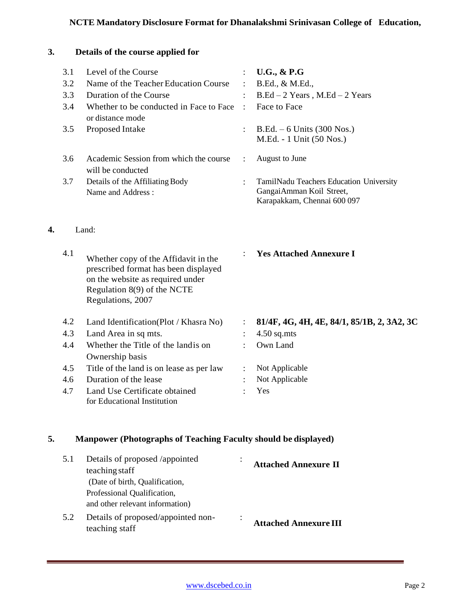# **NCTE Mandatory Disclosure Format for Dhanalakshmi Srinivasan College of Education,**

# **3. Details of the course applied for**

**4.** Land:

| 3.1 | Level of the Course                                                                                                                                                  |                | <b>U.G., &amp; P.G</b>                                                                              |
|-----|----------------------------------------------------------------------------------------------------------------------------------------------------------------------|----------------|-----------------------------------------------------------------------------------------------------|
| 3.2 | Name of the Teacher Education Course                                                                                                                                 |                | B.Ed., & M.Ed.,                                                                                     |
| 3.3 | Duration of the Course                                                                                                                                               | $\ddot{\cdot}$ | $B.Ed - 2 Years$ , M.Ed - 2 Years                                                                   |
| 3.4 | Whether to be conducted in Face to Face<br>or distance mode                                                                                                          |                | Face to Face                                                                                        |
| 3.5 | Proposed Intake                                                                                                                                                      |                | $B.Ed. - 6$ Units (300 Nos.)<br>M.Ed. - 1 Unit (50 Nos.)                                            |
| 3.6 | Academic Session from which the course<br>will be conducted                                                                                                          | $\ddot{\cdot}$ | August to June                                                                                      |
| 3.7 | Details of the Affiliating Body<br>Name and Address:                                                                                                                 | $\bullet$      | TamilNadu Teachers Education University<br>Gangai Amman Koil Street,<br>Karapakkam, Chennai 600 097 |
|     | Land:                                                                                                                                                                |                |                                                                                                     |
| 4.1 | Whether copy of the Affidavit in the<br>prescribed format has been displayed<br>on the website as required under<br>Regulation 8(9) of the NCTE<br>Regulations, 2007 | $\ddot{\cdot}$ | <b>Yes Attached Annexure I</b>                                                                      |
| 4.2 | Land Identification(Plot / Khasra No)                                                                                                                                | :              | 81/4F, 4G, 4H, 4E, 84/1, 85/1B, 2, 3A2, 3C                                                          |
| 4.3 | Land Area in sq mts.                                                                                                                                                 |                | $4.50$ sq.mts                                                                                       |
| 4.4 | Whether the Title of the landis on                                                                                                                                   | ÷              | Own Land                                                                                            |
|     | Ownership basis                                                                                                                                                      |                |                                                                                                     |
| 4.5 | Title of the land is on lease as per law                                                                                                                             |                | Not Applicable                                                                                      |
| 4.6 | Duration of the lease                                                                                                                                                |                | Not Applicable                                                                                      |
| 4.7 | Land Use Certificate obtained<br>for Educational Institution                                                                                                         |                | Yes                                                                                                 |

# **5. Manpower (Photographs of Teaching Faculty should be displayed)**

| 5.1 | Details of proposed /appointed     | <b>Attached Annexure II</b>  |
|-----|------------------------------------|------------------------------|
|     | teaching staff                     |                              |
|     | (Date of birth, Qualification,     |                              |
|     | Professional Qualification,        |                              |
|     | and other relevant information)    |                              |
| 5.2 | Details of proposed/appointed non- |                              |
|     | teaching staff                     | <b>Attached Annexure III</b> |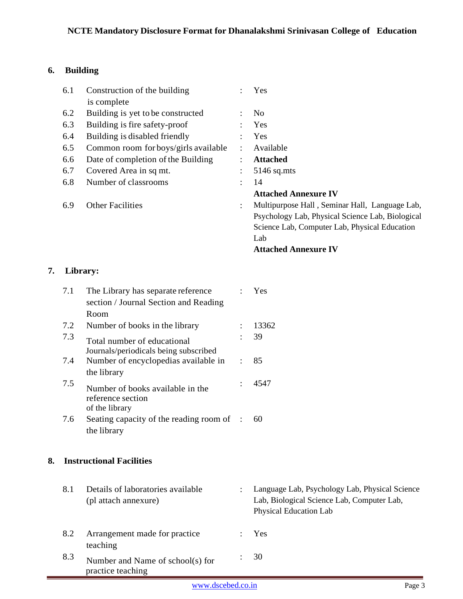# **6. Building**

| 6.1 | Construction of the building<br>is complete |                      | Yes                                              |
|-----|---------------------------------------------|----------------------|--------------------------------------------------|
| 6.2 | Building is yet to be constructed           | $\ddot{\phantom{a}}$ | N <sub>0</sub>                                   |
| 6.3 | Building is fire safety-proof               |                      | Yes                                              |
| 6.4 | Building is disabled friendly               |                      | <b>Yes</b>                                       |
| 6.5 | Common room for boys/girls available        | ÷                    | Available                                        |
| 6.6 | Date of completion of the Building          | $\ddot{\cdot}$       | <b>Attached</b>                                  |
| 6.7 | Covered Area in sq mt.                      | $\ddot{\phantom{a}}$ | $5146$ sq.mts                                    |
| 6.8 | Number of classrooms                        | ÷                    | 14                                               |
|     |                                             |                      | <b>Attached Annexure IV</b>                      |
| 6.9 | <b>Other Facilities</b>                     | $\ddot{\cdot}$       | Multipurpose Hall, Seminar Hall, Language Lab,   |
|     |                                             |                      | Psychology Lab, Physical Science Lab, Biological |
|     |                                             |                      | Science Lab, Computer Lab, Physical Education    |
|     |                                             |                      | Lab                                              |
|     |                                             |                      | <b>Attached Annexure IV</b>                      |
|     |                                             |                      |                                                  |

### **7. Library:**

| 7.1 | The Library has separate reference      |         | Yes   |
|-----|-----------------------------------------|---------|-------|
|     | section / Journal Section and Reading   |         |       |
|     | Room                                    |         |       |
| 7.2 | Number of books in the library          |         | 13362 |
| 7.3 | Total number of educational             |         | 39    |
|     | Journals/periodicals being subscribed   |         |       |
| 7.4 | Number of encyclopedias available in    | $\cdot$ | 85    |
|     | the library                             |         |       |
| 7.5 | Number of books available in the        |         | 4547  |
|     | reference section                       |         |       |
|     | of the library                          |         |       |
| 7.6 | Seating capacity of the reading room of |         | 60    |
|     | the library                             |         |       |
|     |                                         |         |       |

# **8. Instructional Facilities**

| 8.1 | Details of laboratories available<br>(pl attach annexure) | $\bullet$ | Language Lab, Psychology Lab, Physical Science<br>Lab, Biological Science Lab, Computer Lab,<br>Physical Education Lab |
|-----|-----------------------------------------------------------|-----------|------------------------------------------------------------------------------------------------------------------------|
| 8.2 | Arrangement made for practice<br>teaching                 |           | <b>Yes</b>                                                                                                             |
| 8.3 | Number and Name of school(s) for<br>practice teaching     |           | $\therefore$ 30                                                                                                        |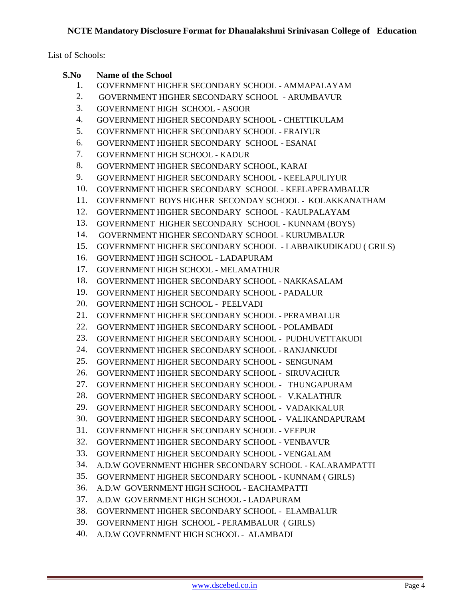List of Schools:

#### **S.No Name of the School**

- 1. GOVERNMENT HIGHER SECONDARY SCHOOL AMMAPALAYAM
- 2. GOVERNMENT HIGHER SECONDARY SCHOOL ARUMBAVUR
- 3. GOVERNMENT HIGH SCHOOL ASOOR
- 4. GOVERNMENT HIGHER SECONDARY SCHOOL CHETTIKULAM
- 5. GOVERNMENT HIGHER SECONDARY SCHOOL ERAIYUR
- 6. GOVERNMENT HIGHER SECONDARY SCHOOL ESANAI
- 7. GOVERNMENT HIGH SCHOOL KADUR
- 8. GOVERNMENT HIGHER SECONDARY SCHOOL, KARAI
- 9. GOVERNMENT HIGHER SECONDARY SCHOOL KEELAPULIYUR
- 10. GOVERNMENT HIGHER SECONDARY SCHOOL KEELAPERAMBALUR
- 11. GOVERNMENT BOYS HIGHER SECONDAY SCHOOL KOLAKKANATHAM
- 12. GOVERNMENT HIGHER SECONDARY SCHOOL KAULPALAYAM
- 13. GOVERNMENT HIGHER SECONDARY SCHOOL KUNNAM (BOYS)
- 14. GOVERNMENT HIGHER SECONDARY SCHOOL KURUMBALUR
- 15. GOVERNMENT HIGHER SECONDARY SCHOOL LABBAIKUDIKADU ( GRILS)
- 16. GOVERNMENT HIGH SCHOOL LADAPURAM
- 17. GOVERNMENT HIGH SCHOOL MELAMATHUR
- 18. GOVERNMENT HIGHER SECONDARY SCHOOL NAKKASALAM
- 19. GOVERNMENT HIGHER SECONDARY SCHOOL PADALUR
- 20. GOVERNMENT HIGH SCHOOL PEELVADI
- 21. GOVERNMENT HIGHER SECONDARY SCHOOL PERAMBALUR
- 22. GOVERNMENT HIGHER SECONDARY SCHOOL POLAMBADI
- 23. GOVERNMENT HIGHER SECONDARY SCHOOL PUDHUVETTAKUDI
- 24. GOVERNMENT HIGHER SECONDARY SCHOOL RANJANKUDI
- 25. GOVERNMENT HIGHER SECONDARY SCHOOL SENGUNAM
- 26. GOVERNMENT HIGHER SECONDARY SCHOOL SIRUVACHUR
- 27. GOVERNMENT HIGHER SECONDARY SCHOOL THUNGAPURAM
- 28. GOVERNMENT HIGHER SECONDARY SCHOOL V.KALATHUR
- 29. GOVERNMENT HIGHER SECONDARY SCHOOL VADAKKALUR
- 30. GOVERNMENT HIGHER SECONDARY SCHOOL VALIKANDAPURAM
- 31. GOVERNMENT HIGHER SECONDARY SCHOOL VEEPUR
- 32. GOVERNMENT HIGHER SECONDARY SCHOOL VENBAVUR
- 33. GOVERNMENT HIGHER SECONDARY SCHOOL VENGALAM
- 34. A.D.W GOVERNMENT HIGHER SECONDARY SCHOOL KALARAMPATTI
- 35. GOVERNMENT HIGHER SECONDARY SCHOOL KUNNAM ( GIRLS)
- 36. A.D.W GOVERNMENT HIGH SCHOOL EACHAMPATTI
- 37. A.D.W GOVERNMENT HIGH SCHOOL LADAPURAM
- 38. GOVERNMENT HIGHER SECONDARY SCHOOL ELAMBALUR
- 39. GOVERNMENT HIGH SCHOOL PERAMBALUR ( GIRLS)
- 40. A.D.W GOVERNMENT HIGH SCHOOL ALAMBADI